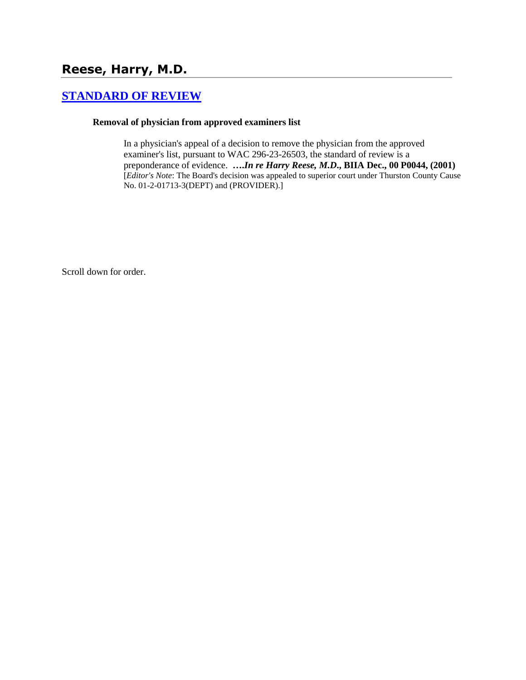# **Reese, Harry, M.D.**

## **[STANDARD OF REVIEW](http://www.biia.wa.gov/SDSubjectIndex.html#STANDARD_OF_REVIEW)**

#### **Removal of physician from approved examiners list**

In a physician's appeal of a decision to remove the physician from the approved examiner's list, pursuant to WAC 296-23-26503, the standard of review is a preponderance of evidence. **….***In re Harry Reese, M.D***., BIIA Dec., 00 P0044, (2001)**  [*Editor's Note*: The Board's decision was appealed to superior court under Thurston County Cause No. 01-2-01713-3(DEPT) and (PROVIDER).]

Scroll down for order.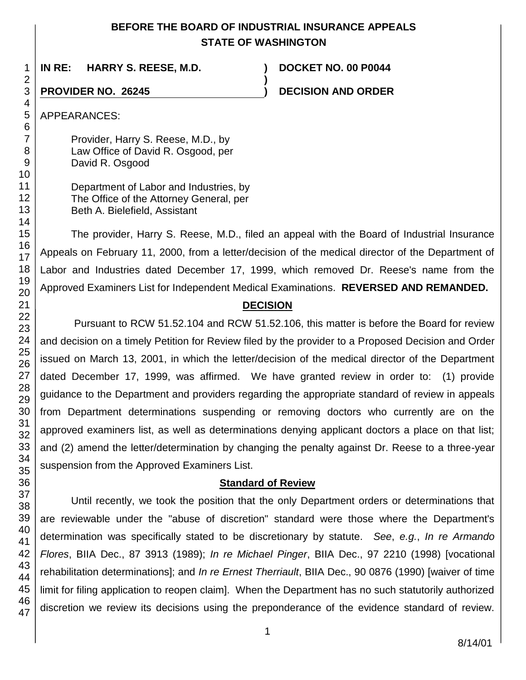### **BEFORE THE BOARD OF INDUSTRIAL INSURANCE APPEALS STATE OF WASHINGTON**

**)**

**IN RE: HARRY S. REESE, M.D. ) DOCKET NO. 00 P0044**

## **PROVIDER NO. 26245 ) DECISION AND ORDER**

APPEARANCES:

Provider, Harry S. Reese, M.D., by Law Office of David R. Osgood, per David R. Osgood

Department of Labor and Industries, by The Office of the Attorney General, per Beth A. Bielefield, Assistant

The provider, Harry S. Reese, M.D., filed an appeal with the Board of Industrial Insurance Appeals on February 11, 2000, from a letter/decision of the medical director of the Department of Labor and Industries dated December 17, 1999, which removed Dr. Reese's name from the Approved Examiners List for Independent Medical Examinations. **REVERSED AND REMANDED.**

#### **DECISION**

Pursuant to RCW 51.52.104 and RCW 51.52.106, this matter is before the Board for review and decision on a timely Petition for Review filed by the provider to a Proposed Decision and Order issued on March 13, 2001, in which the letter/decision of the medical director of the Department dated December 17, 1999, was affirmed. We have granted review in order to: (1) provide guidance to the Department and providers regarding the appropriate standard of review in appeals from Department determinations suspending or removing doctors who currently are on the approved examiners list, as well as determinations denying applicant doctors a place on that list; and (2) amend the letter/determination by changing the penalty against Dr. Reese to a three-year suspension from the Approved Examiners List.

#### **Standard of Review**

Until recently, we took the position that the only Department orders or determinations that are reviewable under the "abuse of discretion" standard were those where the Department's determination was specifically stated to be discretionary by statute. *See*, *e.g.*, *In re Armando Flores*, BIIA Dec., 87 3913 (1989); *In re Michael Pinger*, BIIA Dec., 97 2210 (1998) [vocational rehabilitation determinations]; and *In re Ernest Therriault*, BIIA Dec., 90 0876 (1990) [waiver of time limit for filing application to reopen claim]. When the Department has no such statutorily authorized discretion we review its decisions using the preponderance of the evidence standard of review.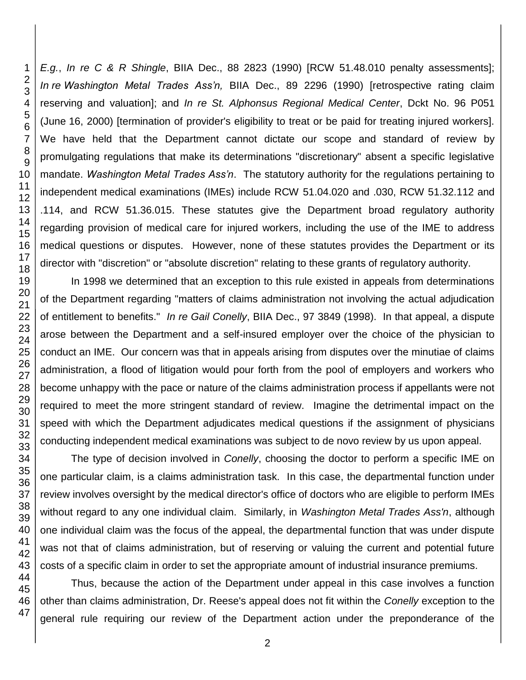*E.g.*, *In re C & R Shingle*, BIIA Dec., 88 2823 (1990) [RCW 51.48.010 penalty assessments]; *In re Washington Metal Trades Ass'n,* BIIA Dec., 89 2296 (1990) [retrospective rating claim reserving and valuation]; and *In re St. Alphonsus Regional Medical Center*, Dckt No. 96 P051 (June 16, 2000) [termination of provider's eligibility to treat or be paid for treating injured workers]. We have held that the Department cannot dictate our scope and standard of review by promulgating regulations that make its determinations "discretionary" absent a specific legislative mandate. *Washington Metal Trades Ass'n*. The statutory authority for the regulations pertaining to independent medical examinations (IMEs) include RCW 51.04.020 and .030, RCW 51.32.112 and .114, and RCW 51.36.015. These statutes give the Department broad regulatory authority regarding provision of medical care for injured workers, including the use of the IME to address medical questions or disputes. However, none of these statutes provides the Department or its director with "discretion" or "absolute discretion" relating to these grants of regulatory authority.

In 1998 we determined that an exception to this rule existed in appeals from determinations of the Department regarding "matters of claims administration not involving the actual adjudication of entitlement to benefits." *In re Gail Conelly*, BIIA Dec., 97 3849 (1998). In that appeal, a dispute arose between the Department and a self-insured employer over the choice of the physician to conduct an IME. Our concern was that in appeals arising from disputes over the minutiae of claims administration, a flood of litigation would pour forth from the pool of employers and workers who become unhappy with the pace or nature of the claims administration process if appellants were not required to meet the more stringent standard of review. Imagine the detrimental impact on the speed with which the Department adjudicates medical questions if the assignment of physicians conducting independent medical examinations was subject to de novo review by us upon appeal.

The type of decision involved in *Conelly*, choosing the doctor to perform a specific IME on one particular claim, is a claims administration task. In this case, the departmental function under review involves oversight by the medical director's office of doctors who are eligible to perform IMEs without regard to any one individual claim. Similarly, in *Washington Metal Trades Ass'n*, although one individual claim was the focus of the appeal, the departmental function that was under dispute was not that of claims administration, but of reserving or valuing the current and potential future costs of a specific claim in order to set the appropriate amount of industrial insurance premiums.

Thus, because the action of the Department under appeal in this case involves a function other than claims administration, Dr. Reese's appeal does not fit within the *Conelly* exception to the general rule requiring our review of the Department action under the preponderance of the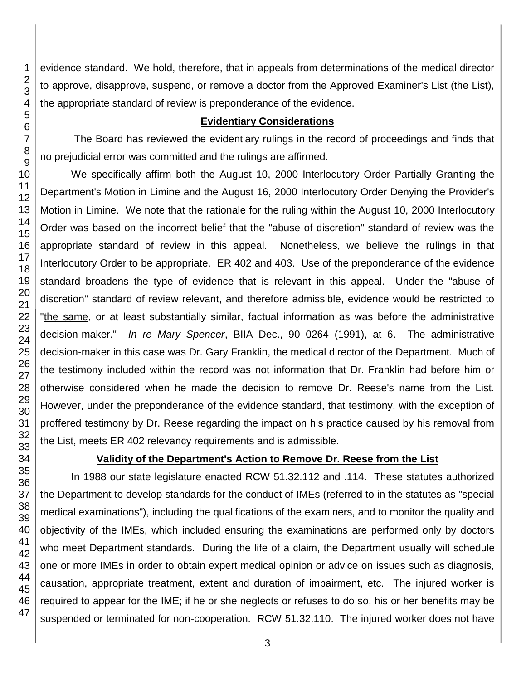evidence standard. We hold, therefore, that in appeals from determinations of the medical director to approve, disapprove, suspend, or remove a doctor from the Approved Examiner's List (the List), the appropriate standard of review is preponderance of the evidence.

#### **Evidentiary Considerations**

The Board has reviewed the evidentiary rulings in the record of proceedings and finds that no prejudicial error was committed and the rulings are affirmed.

We specifically affirm both the August 10, 2000 Interlocutory Order Partially Granting the Department's Motion in Limine and the August 16, 2000 Interlocutory Order Denying the Provider's Motion in Limine. We note that the rationale for the ruling within the August 10, 2000 Interlocutory Order was based on the incorrect belief that the "abuse of discretion" standard of review was the appropriate standard of review in this appeal. Nonetheless, we believe the rulings in that Interlocutory Order to be appropriate. ER 402 and 403. Use of the preponderance of the evidence standard broadens the type of evidence that is relevant in this appeal. Under the "abuse of discretion" standard of review relevant, and therefore admissible, evidence would be restricted to "the same, or at least substantially similar, factual information as was before the administrative decision-maker." *In re Mary Spencer*, BIIA Dec., 90 0264 (1991), at 6. The administrative decision-maker in this case was Dr. Gary Franklin, the medical director of the Department. Much of the testimony included within the record was not information that Dr. Franklin had before him or otherwise considered when he made the decision to remove Dr. Reese's name from the List. However, under the preponderance of the evidence standard, that testimony, with the exception of proffered testimony by Dr. Reese regarding the impact on his practice caused by his removal from the List, meets ER 402 relevancy requirements and is admissible.

#### **Validity of the Department's Action to Remove Dr. Reese from the List**

In 1988 our state legislature enacted RCW 51.32.112 and .114. These statutes authorized the Department to develop standards for the conduct of IMEs (referred to in the statutes as "special medical examinations"), including the qualifications of the examiners, and to monitor the quality and objectivity of the IMEs, which included ensuring the examinations are performed only by doctors who meet Department standards. During the life of a claim, the Department usually will schedule one or more IMEs in order to obtain expert medical opinion or advice on issues such as diagnosis, causation, appropriate treatment, extent and duration of impairment, etc. The injured worker is required to appear for the IME; if he or she neglects or refuses to do so, his or her benefits may be suspended or terminated for non-cooperation. RCW 51.32.110. The injured worker does not have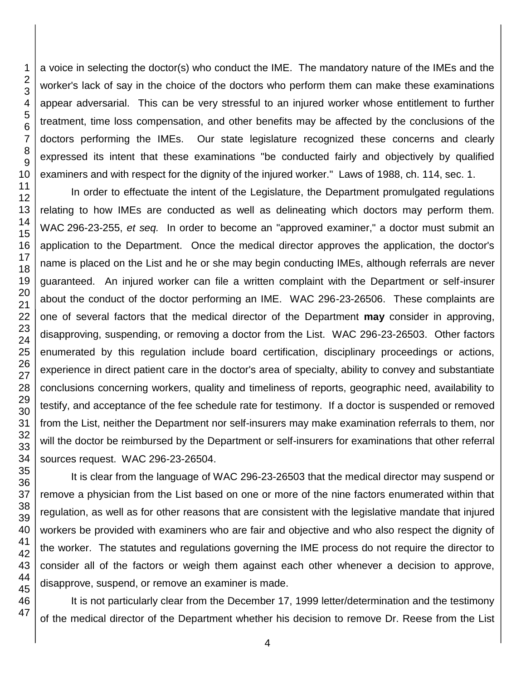a voice in selecting the doctor(s) who conduct the IME. The mandatory nature of the IMEs and the worker's lack of say in the choice of the doctors who perform them can make these examinations appear adversarial. This can be very stressful to an injured worker whose entitlement to further treatment, time loss compensation, and other benefits may be affected by the conclusions of the doctors performing the IMEs. Our state legislature recognized these concerns and clearly expressed its intent that these examinations "be conducted fairly and objectively by qualified examiners and with respect for the dignity of the injured worker." Laws of 1988, ch. 114, sec. 1.

In order to effectuate the intent of the Legislature, the Department promulgated regulations relating to how IMEs are conducted as well as delineating which doctors may perform them. WAC 296-23-255, *et seq.* In order to become an "approved examiner," a doctor must submit an application to the Department. Once the medical director approves the application, the doctor's name is placed on the List and he or she may begin conducting IMEs, although referrals are never guaranteed. An injured worker can file a written complaint with the Department or self-insurer about the conduct of the doctor performing an IME. WAC 296-23-26506. These complaints are one of several factors that the medical director of the Department **may** consider in approving, disapproving, suspending, or removing a doctor from the List. WAC 296-23-26503. Other factors enumerated by this regulation include board certification, disciplinary proceedings or actions, experience in direct patient care in the doctor's area of specialty, ability to convey and substantiate conclusions concerning workers, quality and timeliness of reports, geographic need, availability to testify, and acceptance of the fee schedule rate for testimony. If a doctor is suspended or removed from the List, neither the Department nor self-insurers may make examination referrals to them, nor will the doctor be reimbursed by the Department or self-insurers for examinations that other referral sources request. WAC 296-23-26504.

It is clear from the language of WAC 296-23-26503 that the medical director may suspend or remove a physician from the List based on one or more of the nine factors enumerated within that regulation, as well as for other reasons that are consistent with the legislative mandate that injured workers be provided with examiners who are fair and objective and who also respect the dignity of the worker. The statutes and regulations governing the IME process do not require the director to consider all of the factors or weigh them against each other whenever a decision to approve, disapprove, suspend, or remove an examiner is made.

It is not particularly clear from the December 17, 1999 letter/determination and the testimony of the medical director of the Department whether his decision to remove Dr. Reese from the List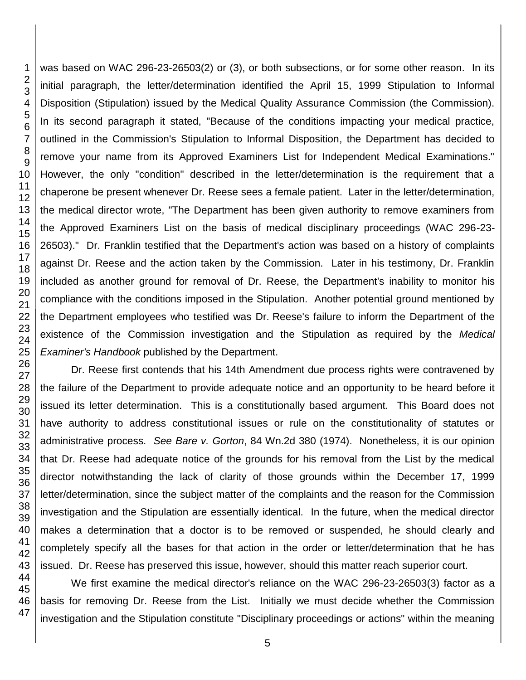was based on WAC 296-23-26503(2) or (3), or both subsections, or for some other reason. In its initial paragraph, the letter/determination identified the April 15, 1999 Stipulation to Informal Disposition (Stipulation) issued by the Medical Quality Assurance Commission (the Commission). In its second paragraph it stated, "Because of the conditions impacting your medical practice, outlined in the Commission's Stipulation to Informal Disposition, the Department has decided to remove your name from its Approved Examiners List for Independent Medical Examinations." However, the only "condition" described in the letter/determination is the requirement that a chaperone be present whenever Dr. Reese sees a female patient. Later in the letter/determination, the medical director wrote, "The Department has been given authority to remove examiners from the Approved Examiners List on the basis of medical disciplinary proceedings (WAC 296-23- 26503)." Dr. Franklin testified that the Department's action was based on a history of complaints against Dr. Reese and the action taken by the Commission. Later in his testimony, Dr. Franklin included as another ground for removal of Dr. Reese, the Department's inability to monitor his compliance with the conditions imposed in the Stipulation. Another potential ground mentioned by the Department employees who testified was Dr. Reese's failure to inform the Department of the existence of the Commission investigation and the Stipulation as required by the *Medical Examiner's Handbook* published by the Department.

Dr. Reese first contends that his 14th Amendment due process rights were contravened by the failure of the Department to provide adequate notice and an opportunity to be heard before it issued its letter determination. This is a constitutionally based argument. This Board does not have authority to address constitutional issues or rule on the constitutionality of statutes or administrative process. *See Bare v. Gorton*, 84 Wn.2d 380 (1974). Nonetheless, it is our opinion that Dr. Reese had adequate notice of the grounds for his removal from the List by the medical director notwithstanding the lack of clarity of those grounds within the December 17, 1999 letter/determination, since the subject matter of the complaints and the reason for the Commission investigation and the Stipulation are essentially identical. In the future, when the medical director makes a determination that a doctor is to be removed or suspended, he should clearly and completely specify all the bases for that action in the order or letter/determination that he has issued. Dr. Reese has preserved this issue, however, should this matter reach superior court.

We first examine the medical director's reliance on the WAC 296-23-26503(3) factor as a basis for removing Dr. Reese from the List. Initially we must decide whether the Commission investigation and the Stipulation constitute "Disciplinary proceedings or actions" within the meaning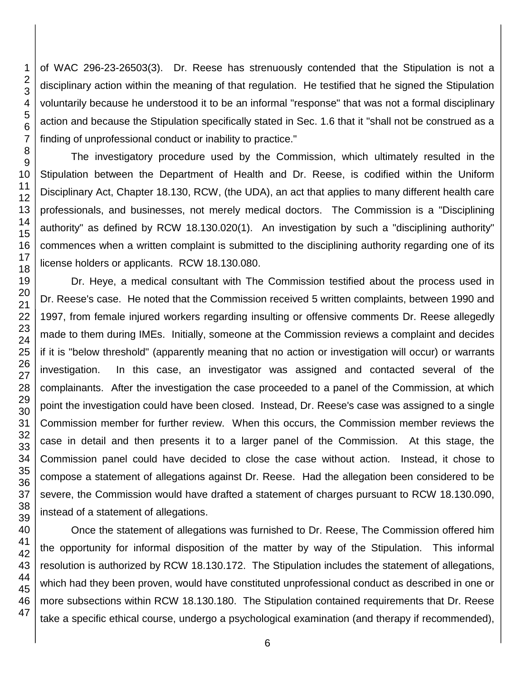of WAC 296-23-26503(3). Dr. Reese has strenuously contended that the Stipulation is not a disciplinary action within the meaning of that regulation. He testified that he signed the Stipulation voluntarily because he understood it to be an informal "response" that was not a formal disciplinary action and because the Stipulation specifically stated in Sec. 1.6 that it "shall not be construed as a finding of unprofessional conduct or inability to practice."

The investigatory procedure used by the Commission, which ultimately resulted in the Stipulation between the Department of Health and Dr. Reese, is codified within the Uniform Disciplinary Act, Chapter 18.130, RCW, (the UDA), an act that applies to many different health care professionals, and businesses, not merely medical doctors. The Commission is a "Disciplining authority" as defined by RCW 18.130.020(1). An investigation by such a "disciplining authority" commences when a written complaint is submitted to the disciplining authority regarding one of its license holders or applicants. RCW 18.130.080.

Dr. Heye, a medical consultant with The Commission testified about the process used in Dr. Reese's case. He noted that the Commission received 5 written complaints, between 1990 and 1997, from female injured workers regarding insulting or offensive comments Dr. Reese allegedly made to them during IMEs. Initially, someone at the Commission reviews a complaint and decides if it is "below threshold" (apparently meaning that no action or investigation will occur) or warrants investigation. In this case, an investigator was assigned and contacted several of the complainants. After the investigation the case proceeded to a panel of the Commission, at which point the investigation could have been closed. Instead, Dr. Reese's case was assigned to a single Commission member for further review. When this occurs, the Commission member reviews the case in detail and then presents it to a larger panel of the Commission. At this stage, the Commission panel could have decided to close the case without action. Instead, it chose to compose a statement of allegations against Dr. Reese. Had the allegation been considered to be severe, the Commission would have drafted a statement of charges pursuant to RCW 18.130.090, instead of a statement of allegations.

Once the statement of allegations was furnished to Dr. Reese, The Commission offered him the opportunity for informal disposition of the matter by way of the Stipulation. This informal resolution is authorized by RCW 18.130.172. The Stipulation includes the statement of allegations, which had they been proven, would have constituted unprofessional conduct as described in one or more subsections within RCW 18.130.180. The Stipulation contained requirements that Dr. Reese take a specific ethical course, undergo a psychological examination (and therapy if recommended),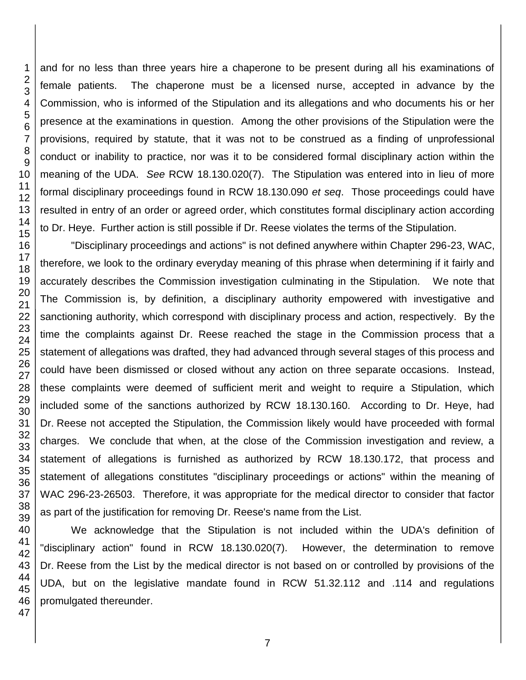and for no less than three years hire a chaperone to be present during all his examinations of female patients. The chaperone must be a licensed nurse, accepted in advance by the Commission, who is informed of the Stipulation and its allegations and who documents his or her presence at the examinations in question. Among the other provisions of the Stipulation were the provisions, required by statute, that it was not to be construed as a finding of unprofessional conduct or inability to practice, nor was it to be considered formal disciplinary action within the meaning of the UDA. *See* RCW 18.130.020(7). The Stipulation was entered into in lieu of more formal disciplinary proceedings found in RCW 18.130.090 *et seq*. Those proceedings could have resulted in entry of an order or agreed order, which constitutes formal disciplinary action according to Dr. Heye. Further action is still possible if Dr. Reese violates the terms of the Stipulation.

"Disciplinary proceedings and actions" is not defined anywhere within Chapter 296-23, WAC, therefore, we look to the ordinary everyday meaning of this phrase when determining if it fairly and accurately describes the Commission investigation culminating in the Stipulation. We note that The Commission is, by definition, a disciplinary authority empowered with investigative and sanctioning authority, which correspond with disciplinary process and action, respectively. By the time the complaints against Dr. Reese reached the stage in the Commission process that a statement of allegations was drafted, they had advanced through several stages of this process and could have been dismissed or closed without any action on three separate occasions. Instead, these complaints were deemed of sufficient merit and weight to require a Stipulation, which included some of the sanctions authorized by RCW 18.130.160. According to Dr. Heye, had Dr. Reese not accepted the Stipulation, the Commission likely would have proceeded with formal charges. We conclude that when, at the close of the Commission investigation and review, a statement of allegations is furnished as authorized by RCW 18.130.172, that process and statement of allegations constitutes "disciplinary proceedings or actions" within the meaning of WAC 296-23-26503. Therefore, it was appropriate for the medical director to consider that factor as part of the justification for removing Dr. Reese's name from the List.

We acknowledge that the Stipulation is not included within the UDA's definition of "disciplinary action" found in RCW 18.130.020(7). However, the determination to remove Dr. Reese from the List by the medical director is not based on or controlled by provisions of the UDA, but on the legislative mandate found in RCW 51.32.112 and .114 and regulations promulgated thereunder.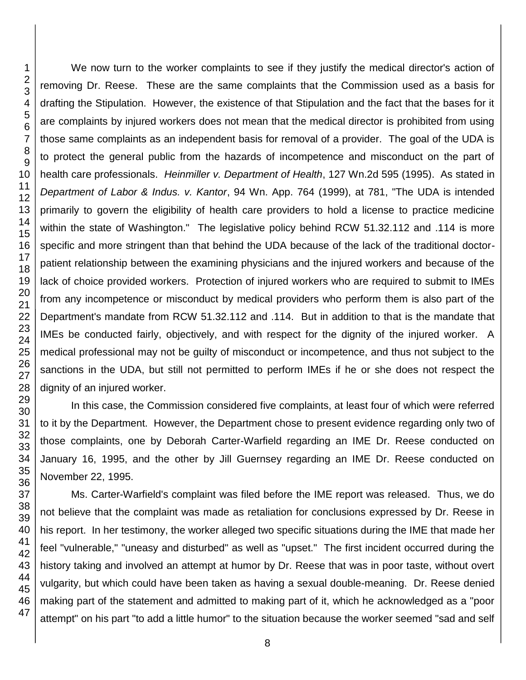We now turn to the worker complaints to see if they justify the medical director's action of removing Dr. Reese. These are the same complaints that the Commission used as a basis for drafting the Stipulation. However, the existence of that Stipulation and the fact that the bases for it are complaints by injured workers does not mean that the medical director is prohibited from using those same complaints as an independent basis for removal of a provider. The goal of the UDA is to protect the general public from the hazards of incompetence and misconduct on the part of health care professionals. *Heinmiller v. Department of Health*, 127 Wn.2d 595 (1995). As stated in *Department of Labor & Indus. v. Kantor*, 94 Wn. App. 764 (1999), at 781, "The UDA is intended primarily to govern the eligibility of health care providers to hold a license to practice medicine within the state of Washington." The legislative policy behind RCW 51.32.112 and .114 is more specific and more stringent than that behind the UDA because of the lack of the traditional doctorpatient relationship between the examining physicians and the injured workers and because of the lack of choice provided workers. Protection of injured workers who are required to submit to IMEs from any incompetence or misconduct by medical providers who perform them is also part of the Department's mandate from RCW 51.32.112 and .114. But in addition to that is the mandate that IMEs be conducted fairly, objectively, and with respect for the dignity of the injured worker. A medical professional may not be guilty of misconduct or incompetence, and thus not subject to the sanctions in the UDA, but still not permitted to perform IMEs if he or she does not respect the dignity of an injured worker.

In this case, the Commission considered five complaints, at least four of which were referred to it by the Department. However, the Department chose to present evidence regarding only two of those complaints, one by Deborah Carter-Warfield regarding an IME Dr. Reese conducted on January 16, 1995, and the other by Jill Guernsey regarding an IME Dr. Reese conducted on November 22, 1995.

Ms. Carter-Warfield's complaint was filed before the IME report was released. Thus, we do not believe that the complaint was made as retaliation for conclusions expressed by Dr. Reese in his report. In her testimony, the worker alleged two specific situations during the IME that made her feel "vulnerable," "uneasy and disturbed" as well as "upset." The first incident occurred during the history taking and involved an attempt at humor by Dr. Reese that was in poor taste, without overt vulgarity, but which could have been taken as having a sexual double-meaning. Dr. Reese denied making part of the statement and admitted to making part of it, which he acknowledged as a "poor attempt" on his part "to add a little humor" to the situation because the worker seemed "sad and self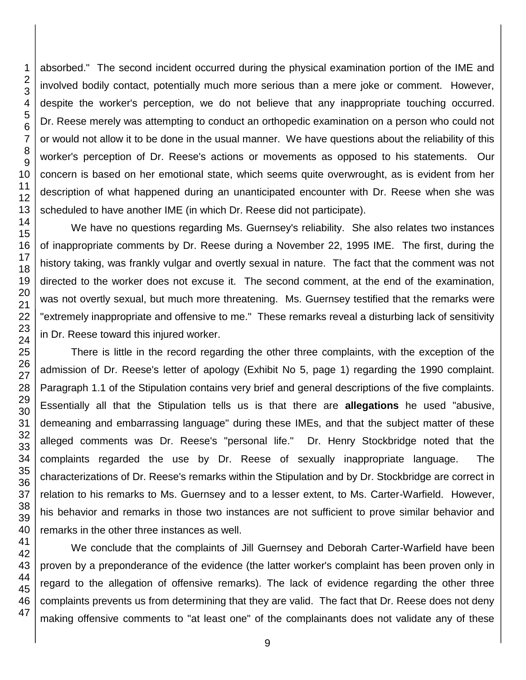absorbed." The second incident occurred during the physical examination portion of the IME and involved bodily contact, potentially much more serious than a mere joke or comment. However, despite the worker's perception, we do not believe that any inappropriate touching occurred. Dr. Reese merely was attempting to conduct an orthopedic examination on a person who could not or would not allow it to be done in the usual manner. We have questions about the reliability of this worker's perception of Dr. Reese's actions or movements as opposed to his statements. Our concern is based on her emotional state, which seems quite overwrought, as is evident from her description of what happened during an unanticipated encounter with Dr. Reese when she was scheduled to have another IME (in which Dr. Reese did not participate).

We have no questions regarding Ms. Guernsey's reliability. She also relates two instances of inappropriate comments by Dr. Reese during a November 22, 1995 IME. The first, during the history taking, was frankly vulgar and overtly sexual in nature. The fact that the comment was not directed to the worker does not excuse it. The second comment, at the end of the examination, was not overtly sexual, but much more threatening. Ms. Guernsey testified that the remarks were "extremely inappropriate and offensive to me." These remarks reveal a disturbing lack of sensitivity in Dr. Reese toward this injured worker.

There is little in the record regarding the other three complaints, with the exception of the admission of Dr. Reese's letter of apology (Exhibit No 5, page 1) regarding the 1990 complaint. Paragraph 1.1 of the Stipulation contains very brief and general descriptions of the five complaints. Essentially all that the Stipulation tells us is that there are **allegations** he used "abusive, demeaning and embarrassing language" during these IMEs, and that the subject matter of these alleged comments was Dr. Reese's "personal life." Dr. Henry Stockbridge noted that the complaints regarded the use by Dr. Reese of sexually inappropriate language. The characterizations of Dr. Reese's remarks within the Stipulation and by Dr. Stockbridge are correct in relation to his remarks to Ms. Guernsey and to a lesser extent, to Ms. Carter-Warfield. However, his behavior and remarks in those two instances are not sufficient to prove similar behavior and remarks in the other three instances as well.

We conclude that the complaints of Jill Guernsey and Deborah Carter-Warfield have been proven by a preponderance of the evidence (the latter worker's complaint has been proven only in regard to the allegation of offensive remarks). The lack of evidence regarding the other three complaints prevents us from determining that they are valid. The fact that Dr. Reese does not deny making offensive comments to "at least one" of the complainants does not validate any of these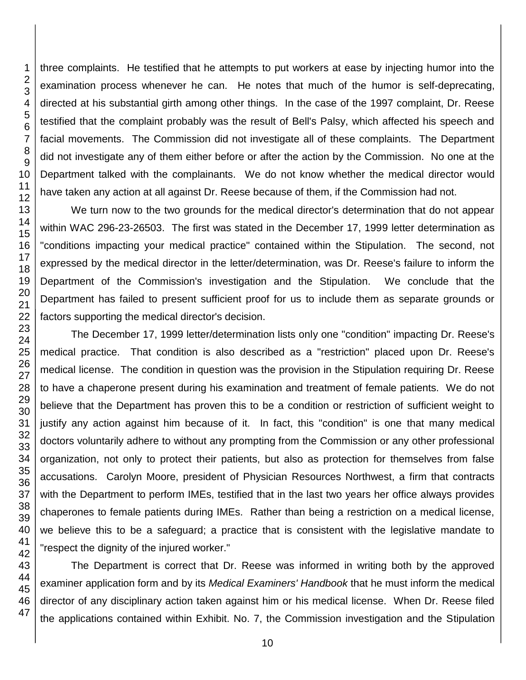three complaints. He testified that he attempts to put workers at ease by injecting humor into the examination process whenever he can. He notes that much of the humor is self-deprecating, directed at his substantial girth among other things. In the case of the 1997 complaint, Dr. Reese testified that the complaint probably was the result of Bell's Palsy, which affected his speech and facial movements. The Commission did not investigate all of these complaints. The Department did not investigate any of them either before or after the action by the Commission. No one at the Department talked with the complainants. We do not know whether the medical director would have taken any action at all against Dr. Reese because of them, if the Commission had not.

We turn now to the two grounds for the medical director's determination that do not appear within WAC 296-23-26503. The first was stated in the December 17, 1999 letter determination as "conditions impacting your medical practice" contained within the Stipulation. The second, not expressed by the medical director in the letter/determination, was Dr. Reese's failure to inform the Department of the Commission's investigation and the Stipulation. We conclude that the Department has failed to present sufficient proof for us to include them as separate grounds or factors supporting the medical director's decision.

The December 17, 1999 letter/determination lists only one "condition" impacting Dr. Reese's medical practice. That condition is also described as a "restriction" placed upon Dr. Reese's medical license. The condition in question was the provision in the Stipulation requiring Dr. Reese to have a chaperone present during his examination and treatment of female patients. We do not believe that the Department has proven this to be a condition or restriction of sufficient weight to justify any action against him because of it. In fact, this "condition" is one that many medical doctors voluntarily adhere to without any prompting from the Commission or any other professional organization, not only to protect their patients, but also as protection for themselves from false accusations. Carolyn Moore, president of Physician Resources Northwest, a firm that contracts with the Department to perform IMEs, testified that in the last two years her office always provides chaperones to female patients during IMEs. Rather than being a restriction on a medical license, we believe this to be a safeguard; a practice that is consistent with the legislative mandate to "respect the dignity of the injured worker."

The Department is correct that Dr. Reese was informed in writing both by the approved examiner application form and by its *Medical Examiners' Handbook* that he must inform the medical director of any disciplinary action taken against him or his medical license. When Dr. Reese filed the applications contained within Exhibit. No. 7, the Commission investigation and the Stipulation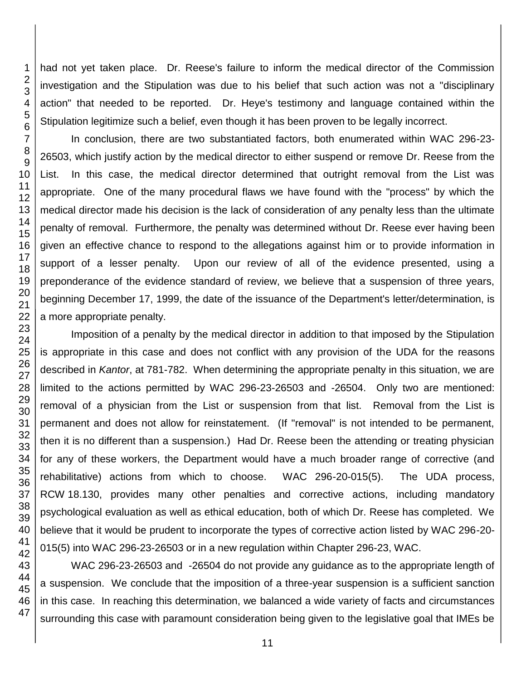had not yet taken place. Dr. Reese's failure to inform the medical director of the Commission investigation and the Stipulation was due to his belief that such action was not a "disciplinary action" that needed to be reported. Dr. Heye's testimony and language contained within the Stipulation legitimize such a belief, even though it has been proven to be legally incorrect.

In conclusion, there are two substantiated factors, both enumerated within WAC 296-23- 26503, which justify action by the medical director to either suspend or remove Dr. Reese from the List. In this case, the medical director determined that outright removal from the List was appropriate. One of the many procedural flaws we have found with the "process" by which the medical director made his decision is the lack of consideration of any penalty less than the ultimate penalty of removal. Furthermore, the penalty was determined without Dr. Reese ever having been given an effective chance to respond to the allegations against him or to provide information in support of a lesser penalty. Upon our review of all of the evidence presented, using a preponderance of the evidence standard of review, we believe that a suspension of three years, beginning December 17, 1999, the date of the issuance of the Department's letter/determination, is a more appropriate penalty.

Imposition of a penalty by the medical director in addition to that imposed by the Stipulation is appropriate in this case and does not conflict with any provision of the UDA for the reasons described in *Kantor*, at 781-782. When determining the appropriate penalty in this situation, we are limited to the actions permitted by WAC 296-23-26503 and -26504. Only two are mentioned: removal of a physician from the List or suspension from that list. Removal from the List is permanent and does not allow for reinstatement. (If "removal" is not intended to be permanent, then it is no different than a suspension.) Had Dr. Reese been the attending or treating physician for any of these workers, the Department would have a much broader range of corrective (and rehabilitative) actions from which to choose. WAC 296-20-015(5). The UDA process, RCW 18.130, provides many other penalties and corrective actions, including mandatory psychological evaluation as well as ethical education, both of which Dr. Reese has completed. We believe that it would be prudent to incorporate the types of corrective action listed by WAC 296-20- 015(5) into WAC 296-23-26503 or in a new regulation within Chapter 296-23, WAC.

WAC 296-23-26503 and -26504 do not provide any guidance as to the appropriate length of a suspension. We conclude that the imposition of a three-year suspension is a sufficient sanction in this case. In reaching this determination, we balanced a wide variety of facts and circumstances surrounding this case with paramount consideration being given to the legislative goal that IMEs be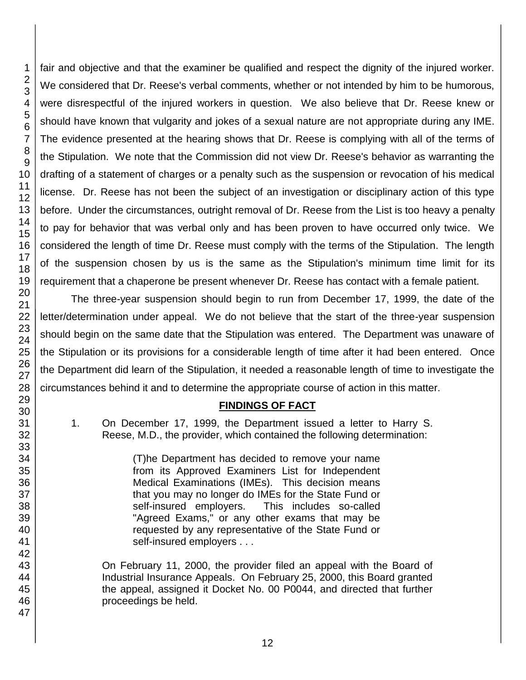47

fair and objective and that the examiner be qualified and respect the dignity of the injured worker. We considered that Dr. Reese's verbal comments, whether or not intended by him to be humorous, were disrespectful of the injured workers in question. We also believe that Dr. Reese knew or should have known that vulgarity and jokes of a sexual nature are not appropriate during any IME. The evidence presented at the hearing shows that Dr. Reese is complying with all of the terms of the Stipulation. We note that the Commission did not view Dr. Reese's behavior as warranting the drafting of a statement of charges or a penalty such as the suspension or revocation of his medical license. Dr. Reese has not been the subject of an investigation or disciplinary action of this type before. Under the circumstances, outright removal of Dr. Reese from the List is too heavy a penalty to pay for behavior that was verbal only and has been proven to have occurred only twice. We considered the length of time Dr. Reese must comply with the terms of the Stipulation. The length of the suspension chosen by us is the same as the Stipulation's minimum time limit for its requirement that a chaperone be present whenever Dr. Reese has contact with a female patient.

The three-year suspension should begin to run from December 17, 1999, the date of the letter/determination under appeal. We do not believe that the start of the three-year suspension should begin on the same date that the Stipulation was entered. The Department was unaware of the Stipulation or its provisions for a considerable length of time after it had been entered. Once the Department did learn of the Stipulation, it needed a reasonable length of time to investigate the circumstances behind it and to determine the appropriate course of action in this matter.

#### **FINDINGS OF FACT**

1. On December 17, 1999, the Department issued a letter to Harry S. Reese, M.D., the provider, which contained the following determination:

> (T)he Department has decided to remove your name from its Approved Examiners List for Independent Medical Examinations (IMEs). This decision means that you may no longer do IMEs for the State Fund or self-insured employers. This includes so-called "Agreed Exams," or any other exams that may be requested by any representative of the State Fund or self-insured employers . . .

On February 11, 2000, the provider filed an appeal with the Board of Industrial Insurance Appeals. On February 25, 2000, this Board granted the appeal, assigned it Docket No. 00 P0044, and directed that further proceedings be held.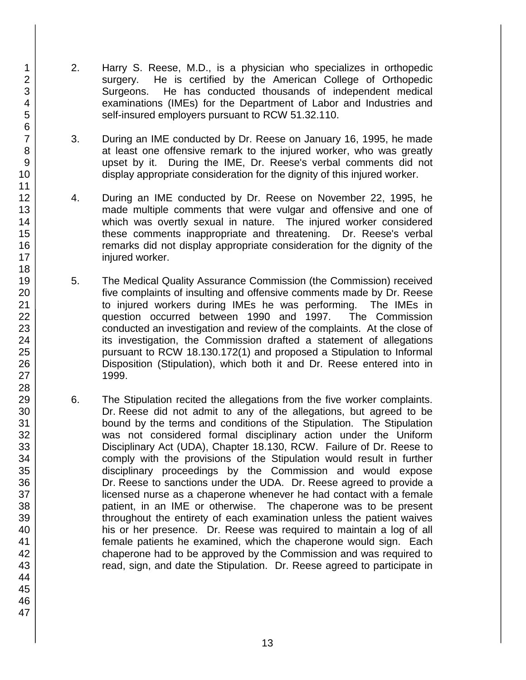- 2. Harry S. Reese, M.D., is a physician who specializes in orthopedic surgery. He is certified by the American College of Orthopedic Surgeons. He has conducted thousands of independent medical examinations (IMEs) for the Department of Labor and Industries and self-insured employers pursuant to RCW 51.32.110.
- 3. During an IME conducted by Dr. Reese on January 16, 1995, he made at least one offensive remark to the injured worker, who was greatly upset by it. During the IME, Dr. Reese's verbal comments did not display appropriate consideration for the dignity of this injured worker.
- 4. During an IME conducted by Dr. Reese on November 22, 1995, he made multiple comments that were vulgar and offensive and one of which was overtly sexual in nature. The injured worker considered these comments inappropriate and threatening. Dr. Reese's verbal remarks did not display appropriate consideration for the dignity of the injured worker.
- 5. The Medical Quality Assurance Commission (the Commission) received five complaints of insulting and offensive comments made by Dr. Reese to injured workers during IMEs he was performing. The IMEs in question occurred between 1990 and 1997. The Commission conducted an investigation and review of the complaints. At the close of its investigation, the Commission drafted a statement of allegations pursuant to RCW 18.130.172(1) and proposed a Stipulation to Informal Disposition (Stipulation), which both it and Dr. Reese entered into in 1999.
- 6. The Stipulation recited the allegations from the five worker complaints. Dr. Reese did not admit to any of the allegations, but agreed to be bound by the terms and conditions of the Stipulation. The Stipulation was not considered formal disciplinary action under the Uniform Disciplinary Act (UDA), Chapter 18.130, RCW. Failure of Dr. Reese to comply with the provisions of the Stipulation would result in further disciplinary proceedings by the Commission and would expose Dr. Reese to sanctions under the UDA. Dr. Reese agreed to provide a licensed nurse as a chaperone whenever he had contact with a female patient, in an IME or otherwise. The chaperone was to be present throughout the entirety of each examination unless the patient waives his or her presence. Dr. Reese was required to maintain a log of all female patients he examined, which the chaperone would sign. Each chaperone had to be approved by the Commission and was required to read, sign, and date the Stipulation. Dr. Reese agreed to participate in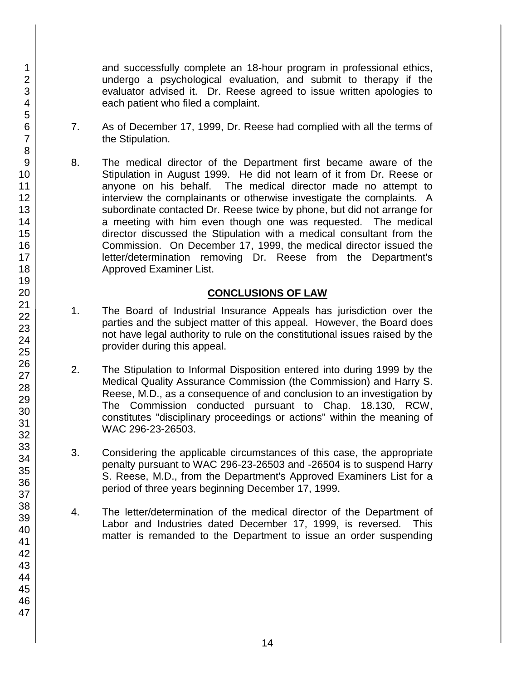and successfully complete an 18-hour program in professional ethics, undergo a psychological evaluation, and submit to therapy if the evaluator advised it. Dr. Reese agreed to issue written apologies to each patient who filed a complaint.

- 7. As of December 17, 1999, Dr. Reese had complied with all the terms of the Stipulation.
- 8. The medical director of the Department first became aware of the Stipulation in August 1999. He did not learn of it from Dr. Reese or anyone on his behalf. The medical director made no attempt to interview the complainants or otherwise investigate the complaints. A subordinate contacted Dr. Reese twice by phone, but did not arrange for a meeting with him even though one was requested. The medical director discussed the Stipulation with a medical consultant from the Commission. On December 17, 1999, the medical director issued the letter/determination removing Dr. Reese from the Department's Approved Examiner List.

#### **CONCLUSIONS OF LAW**

- 1. The Board of Industrial Insurance Appeals has jurisdiction over the parties and the subject matter of this appeal. However, the Board does not have legal authority to rule on the constitutional issues raised by the provider during this appeal.
- 2. The Stipulation to Informal Disposition entered into during 1999 by the Medical Quality Assurance Commission (the Commission) and Harry S. Reese, M.D., as a consequence of and conclusion to an investigation by The Commission conducted pursuant to Chap. 18.130, RCW, constitutes "disciplinary proceedings or actions" within the meaning of WAC 296-23-26503.
- 3. Considering the applicable circumstances of this case, the appropriate penalty pursuant to WAC 296-23-26503 and -26504 is to suspend Harry S. Reese, M.D., from the Department's Approved Examiners List for a period of three years beginning December 17, 1999.
- 4. The letter/determination of the medical director of the Department of Labor and Industries dated December 17, 1999, is reversed. This matter is remanded to the Department to issue an order suspending